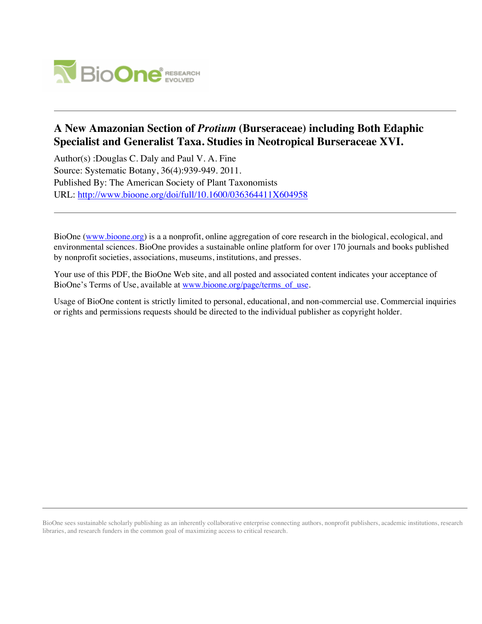

# **A New Amazonian Section of** *Protium* **(Burseraceae) including Both Edaphic Specialist and Generalist Taxa. Studies in Neotropical Burseraceae XVI.**

Author(s) :Douglas C. Daly and Paul V. A. Fine Source: Systematic Botany, 36(4):939-949. 2011. Published By: The American Society of Plant Taxonomists URL: http://www.bioone.org/doi/full/10.1600/036364411X604958

BioOne (www.bioone.org) is a a nonprofit, online aggregation of core research in the biological, ecological, and environmental sciences. BioOne provides a sustainable online platform for over 170 journals and books published by nonprofit societies, associations, museums, institutions, and presses.

Your use of this PDF, the BioOne Web site, and all posted and associated content indicates your acceptance of BioOne's Terms of Use, available at www.bioone.org/page/terms\_of\_use.

Usage of BioOne content is strictly limited to personal, educational, and non-commercial use. Commercial inquiries or rights and permissions requests should be directed to the individual publisher as copyright holder.

BioOne sees sustainable scholarly publishing as an inherently collaborative enterprise connecting authors, nonprofit publishers, academic institutions, research libraries, and research funders in the common goal of maximizing access to critical research.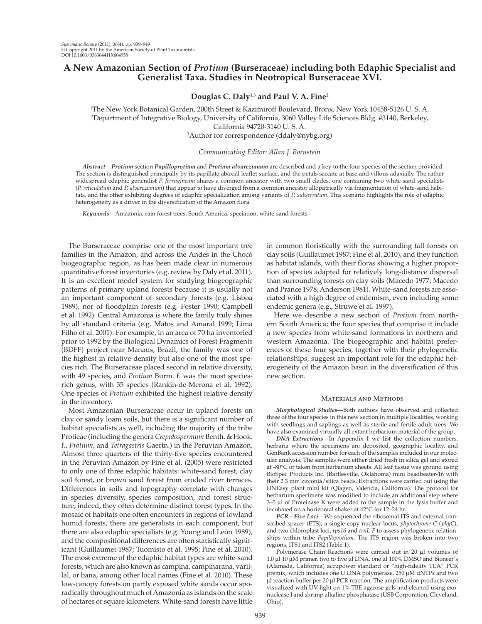# **A New Amazonian Section of** *Protium* **(Burseraceae) including both Edaphic Specialist and Generalist Taxa. Studies in Neotropical Burseraceae XVI.**

Douglas C. Daly<sup>1,3</sup> and Paul V. A. Fine<sup>2</sup>

1 The New York Botanical Garden, 200th Street & Kazimiroff Boulevard, Bronx, New York 10458-5126 U. S. A. 2 Department of Integrative Biology, University of California, 3060 Valley Life Sciences Bldg. #3140, Berkeley, California 94720-3140 U. S. A. 3 <sup>3</sup>Author for correspondence (ddaly@nybg.org)

# *Communicating Editor: Allan J. Bornstein*

 *Abstract—Protium* section *Papilloprotium* and *Protium alvarezianum* are described and a key to the four species of the section provided. The section is distinguished principally by its papillate abaxial leaflet surface, and the petals saccate at base and villous adaxially. The rather widespread edaphic generalist *P. ferrugineum* shares a common ancestor with two small clades, one containing two white-sand specialists (*P. reticulatum* and *P. alvarezianum* ) that appear to have diverged from a common ancestor allopatrically via fragmentation of white-sand habitats, and the other exhibiting degrees of edaphic specialization among variants of *P. subserratum* . This scenario highlights the role of edaphic heterogeneity as a driver in the diversification of the Amazon flora.

Keywords—Amazonia, rain forest trees, South America, speciation, white-sand forests.

 The Burseraceae comprise one of the most important tree families in the Amazon, and across the Andes in the Chocó biogeographic region, as has been made clear in numerous quantitative forest inventories (e.g. review by Daly et al. 2011 ). It is an excellent model system for studying biogeographic patterns of primary upland forests because it is usually not an important component of secondary forests (e.g. Lisboa 1989), nor of floodplain forests (e.g. Foster 1990; Campbell et al. 1992). Central Amazonia is where the family truly shines by all standard criteria (e.g. Matos and Amaral 1999; Lima Filho et al. 2001). For example, in an area of 70 ha inventoried prior to 1992 by the Biological Dynamics of Forest Fragments (BDFF) project near Manaus, Brazil, the family was one of the highest in relative density but also one of the most species rich. The Burseraceae placed second in relative diversity, with 49 species, and *Protium* Burm. f. was the most speciesrich genus, with 35 species (Rankin-de-Merona et al. 1992). One species of *Protium* exhibited the highest relative density in the inventory.

 Most Amazonian Burseraceae occur in upland forests on clay or sandy loam soils, but there is a significant number of habitat specialists as well, including the majority of the tribe Protieae (including the genera *Crepidospermum* Benth. & Hook. f., *Protium,* and *Tetragastris* Gaertn.) in the Peruvian Amazon. Almost three quarters of the thirty-five species encountered in the Peruvian Amazon by Fine et al. (2005) were restricted to only one of three edaphic habitats: white-sand forest, clay soil forest, or brown sand forest from eroded river terraces. Differences in soils and topography correlate with changes in species diversity, species composition, and forest structure; indeed, they often determine distinct forest types. In the mosaic of habitats one often encounters in regions of lowland humid forests, there are generalists in each component, but there are also edaphic specialists (e.g. Young and León 1989), and the compositional differences are often statistically significant (Guillaumet 1987; Tuomisto et al. 1995; Fine et al. 2010). The most extreme of the edaphic habitat types are white-sand forests, which are also known as campina, campinarana, varillal, or bana, among other local names (Fine et al. 2010). These low-canopy forests on partly exposed white sands occur sporadically throughout much of Amazonia as islands on the scale of hectares or square kilometers. White-sand forests have little

in common floristically with the surrounding tall forests on clay soils (Guillaumet 1987; Fine et al. 2010), and they function as habitat islands, with their floras showing a higher proportion of species adapted for relatively long-distance dispersal than surrounding forests on clay soils (Macedo 1977; Macedo and Prance 1978; Anderson 1981). White-sand forests are associated with a high degree of endemism, even including some endemic genera (e.g., Struwe et al. 1997).

 Here we describe a new section of *Protium* from northern South America; the four species that comprise it include a new species from white-sand formations in northern and western Amazonia. The biogeographic and habitat preferences of these four species, together with their phylogenetic relationships, suggest an important role for the edaphic heterogeneity of the Amazon basin in the diversification of this new section.

#### Materials and Methods

 *Morphological Studies—* Both authors have observed and collected three of the four species in this new section in multiple localities, working with seedlings and saplings as well as sterile and fertile adult trees. We have also examined virtually all extant herbarium material of the group.

*DNA Extractions*—In Appendix I we list the collection numbers, herbaria where the specimens are deposited, geographic locality, and GenBank accession number for each of the samples included in our molecular analysis. The samples were either dried fresh in silica gel and stored at -80°C or taken from herbarium sheets. All leaf tissue was ground using BioSpec Products Inc. (Bartlesville, Oklahoma) mini beadbeater-16 with their 2.3 mm zirconia/silica beads. Extractions were carried out using the DNEasy plant mini kit (Qiagen, Valencia, California). The protocol for herbarium specimens was modified to include an additional step where 3–5 l of Proteinase K were added to the sample in the lysis buffer and incubated on a horizontal shaker at 42°C for 12–24 hr.

 *PCR - Five Loci—* We sequenced the ribosomal ITS and external transcribed spacer (ETS), a single copy nuclear locus, *phytochrome C* ( *phyC* ), and two chloroplast loci, *rps16* and *trnL-F* to assess phylogenetic relationships within tribe *Papilloprotium.* The ITS region was broken into two regions, ITS1 and ITS2 (Table 1).

 Polymerase Chain Reactions were carried out in 20 l volumes of 1.0 l 10 M primer, two to five l DNA, one l 100% DMSO and Bioneer's (Alamada, California) accupower standard or "high-fidelity TLA" PCR premix, which includes one U DNA polymerase, 250 M dNTPs and two l reaction buffer per 20 l PCR reaction. The amplification products were visualized with UV light on 1% TBE agarose gels and cleaned using exonuclease I and shrimp alkaline phosphatase (USB Corporation, Cleveland, Ohio).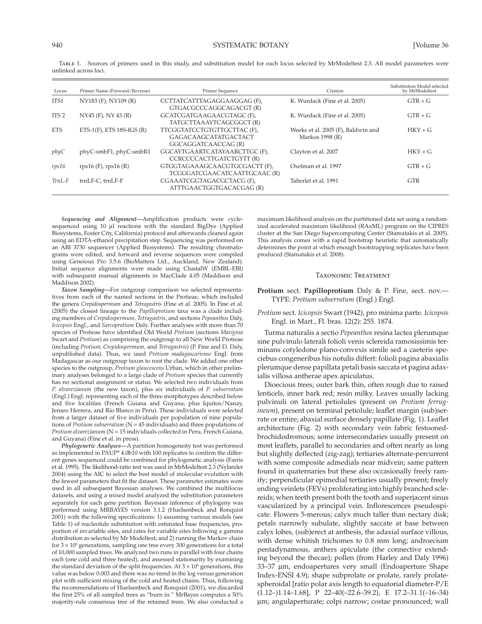| Locus            | Primer Name (Forward/Reverse) | Primer Sequence                                                           | Citation                                              | Substitution Model selected<br>by MrModeltest |
|------------------|-------------------------------|---------------------------------------------------------------------------|-------------------------------------------------------|-----------------------------------------------|
| ITS1             | NY183 (F), NY109 (R)          | CCTTATCATTTAGAGGAAGGAG (F),<br>GTGACGCCCAGGCAGACGT (R)                    | K. Wurdack (Fine et al. 2005)                         | $GTR + G$                                     |
| ITS <sub>2</sub> | NY45 (F), NY 43 (R)           | GCATCGATGAAGAACGTAGC (F),<br>TATGCTTAAAYTCAGCGGCT (R)                     | K. Wurdack (Fine et al. 2005)                         | $GTR + G$                                     |
| <b>ETS</b>       | ETS-1(F), ETS 18S-IGS $(R)$   | TTCGGTATCCTGTGTTGCTTAC(F),<br>GAGACAAGCATATGACTACT<br>GGCAGGATCAACCAG (R) | Weeks et al. 2005 (F), Baldwin and<br>Markos 1998 (R) | $HKY + G$                                     |
| phyC             | phyC-smbF1, phyC-smbR1        | GGCAYTGAARTCATAYAARCTTGC (F),<br>CCRCCCCACTTGATCTGYTT (R)                 | Clayton et al. 2007                                   | $HKY + G$                                     |
| rps16            | rps $16$ (F), rps $16$ (R)    | GTGGTAGAAAGCAACGTGCGACTT (F),<br>TCGGGATCGAACATCAATTGCAAC (R)             | Oxelman et al. 1997                                   | $GTR + G$                                     |
| $TrnL$ - $F$     | trnLF-C, trnLF-F              | CGAAATCGGTAGACGCTACG (F),<br>ATTTGAACTGGTGACACGAG (R)                     | Taberlet et al. 1991                                  | <b>GTR</b>                                    |

TABLE 1. Sources of primers used in this study, and substitution model for each locus selected by MrModeltest 2.3. All model parameters were unlinked across loci.

 *Sequencing and Alignment—* Amplification products were cyclesequenced using 10 1 reactions with the standard BigDye (Applied Biosystems, Foster City, California) protocol and afterwards cleaned again using an EDTA-ethanol precipitation step. Sequencing was performed on an ABI 3730 sequencer (Applied Biosystems). The resulting chromatograms were edited, and forward and reverse sequences were compiled using Geneious Pro 3.5.6 (BioMatters Ltd., Auckland, New Zealand). Initial sequence alignments were made using ClustalW (EMBL-EBI) with subsequent manual alignments in MacClade 4.05 (Maddison and Maddison 2002).

Taxon Sampling-For outgroup comparison we selected representatives from each of the named sections in the Protieae, which included the genera *Crepidospermum* and *Tetragastris* (Fine et al. 2005). In Fine et al. (2005) the closest lineage to the *Papilloprotium* taxa was a clade including members of *Crepidospermum, Tetragastris* , and sections *Pepeanthos* Daly, *Icicopsis* Engl., and *Sarcoprotium* Daly. Further analyses with more than 70 species of Protieae have identified Old World *Protium* (sections *Marignia* Swart and *Protium*) as comprising the outgroup to all New World Protieae (including *Protium, Crepidospermum,* and *Tetragastris* ) (P. Fine and D. Daly, unpublished data). Thus, we used *Protium madagascariense* Engl. from Madagascar as our outgroup taxon to root the clade. We added one other species to the outgroup, *Protium glaucescens* Urban, which in other preliminary analyses belonged to a large clade of *Protium* species that currently has no sectional assignment or status. We selected two individuals from *P. alvarezianum* (the new taxon), plus six individuals of *P. subserratum* (Engl.) Engl. representing each of the three morphotypes described below and five localities (French Guiana and Guyana, plus Iquitos/Nanay, Jenaro Herrera, and Río Blanco in Peru). These individuals were selected from a larger dataset of five individuals per population of nine populations of *Protium subserratum* (N = 45 individuals) and three populations of *Protium alvarezianum* (N = 15 individuals collected in Peru, French Guiana, and Guyana) (Fine et al. in press).

Phylogenetic Analyses-A partition homogeneity test was performed as implemented in PAUP\* 4.0b10 with 100 replicates to confirm the different genes sequenced could be combined for phylogenetic analysis (Farris et al. 1995). The likelihood-ratio test was used in MrModeltest 2.3 (Nylander 2004) using the AIC to select the best model of molecular evolution with the fewest parameters that fit the dataset. These parameter estimates were used in all subsequent Bayesian analyses. We combined the multilocus datasets, and using a mixed model analyzed the substitution parameters separately for each gene partition. Bayesian inference of phylogeny was performed using MRBAYES version 3.1.2 (Huelsenbeck and Ronquist 2001) with the following specifications: 1) assuming various models (see Table 1) of nucleotide substitution with estimated base frequencies, proportion of invariable sites, and rates for variable sites following a gamma distribution as selected by Mr Modeltest; and 2) running the Markov chain for  $3 \times 10^6$  generations, sampling one tree every 300 generations for a total of 10,000 sampled trees. We analyzed two runs in parallel with four chains each (one cold and three heated), and assessed stationarity by examining the standard deviation of the split frequencies. At  $3 \times 10^6$  generations, this value was below 0.003 and there was no trend in the log versus generation plot with sufficient mixing of the cold and heated chains. Thus, following the recommendations of Huelsenbeck and Ronquist (2001), we discarded the first 25% of all sampled trees as "burn in." MrBayes computes a 50% majority-rule consensus tree of the retained trees. We also conducted a

maximum likelihood analysis on the partitioned data set using a randomized accelerated maximum likelihood (RAxML) program on the CIPRES cluster at the San Diego Supercomputing Center (Stamatakis et al. 2005). This analysis comes with a rapid bootstrap heuristic that automatically determines the point at which enough bootstrapping replicates have been produced (Stamatakis et al. 2008).

# Taxonomic Treatment

**Protium** sect. **Papilloprotium** Daly & P. Fine, sect. nov.— TYPE: *Protium subserratum* (Engl.) Engl.

# *Protium* sect. *Icicopsis* Swart (1942) , pro minima parte. *Icicopsis* Engl. in Mart., Fl. bras. 12(2): 255. 1874.

 Turma naturalis a sectio *Pepeanthos* resina lactea plerumque sine pulvinulo laterali folioli venis sclereida ramosissimis terminans cotyledone plano-convexis simile sed a caeteris speciebus congeneribus his notulis differt: folioli pagina abaxialis plerumque dense papillata petali basis saccata et pagina adaxialis villosa antherae apex apiculatus.

 Dioecious trees; outer bark thin, often rough due to raised lenticels, inner bark red; resin milky. Leaves usually lacking pulvinuli on lateral petiolules (present on *Protium ferrugineum* ), present on terminal petiolule; leaflet margin (sub)serrate or entire; abaxial surface densely papillate (Fig. 1). Leaflet architecture (Fig. 2) with secondary vein fabric festoonedbrochidodromous; some intersecondaries usually present on most leaflets, parallel to secondaries and often nearly as long but slightly deflected (zig-zag); tertiaries alternate-percurrent with some composite admedials near midvein; same pattern found in quaternaries but these also occasionally freely ramify; perpendicular epimedial tertiaries usually present; freely ending veinlets (FEVs) proliferating into highly branched sclereids; when teeth present both the tooth and superjacent sinus vascularized by a principal vein. Inflorescences pseudospicate. Flowers 5-merous; calyx much taller than nectary disk; petals narrowly subulate, slightly saccate at base between calyx lobes, (sub)erect at anthesis, the adaxial surface villous, with dense whitish trichomes to 0.8 mm long; androecium pentadynamous, anthers apiculate (the connective extending beyond the thecae); pollen (from Harley and Daly 1996) 33–37 m, endoapertures very small (Endoaperture Shape Index-ENSI 4.9); shape subprolate or prolate, rarely prolatespheroidal [ratio polar axis length to equatorial diameter-P/E (1.12–)1.14–1.68], P 22–40(–22.6–39.2), E 17.2–31.1(–16–34)

m; angulaperturate; colpi narrow; costae pronounced; wall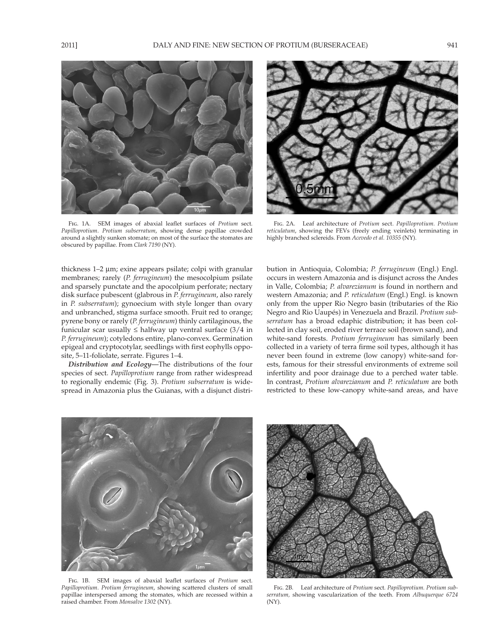

 Fig. 1A. SEM images of abaxial leaflet surfaces of *Protium* sect. Papilloprotium. Protium subserratum, showing dense papillae crowded around a slightly sunken stomate; on most of the surface the stomates are obscured by papillae. From *Clark 7190* (NY).

thickness 1–2 m; exine appears psilate; colpi with granular membranes; rarely (*P. ferrugineum*) the mesocolpium psilate and sparsely punctate and the apocolpium perforate; nectary disk surface pubescent (glabrous in *P. ferrugineum*, also rarely in *P. subserratum*); gynoecium with style longer than ovary and unbranched, stigma surface smooth. Fruit red to orange; pyrene bony or rarely (*P. ferrugineum*) thinly cartilaginous, the funicular scar usually  $\leq$  halfway up ventral surface (3/4 in *P. ferrugineum* ); cotyledons entire, plano-convex. Germination epigeal and cryptocotylar, seedlings with first eophylls opposite, 5-11-foliolate, serrate. Figures 1-4.

 *Distribution and Ecology—* The distributions of the four species of sect. *Papilloprotium* range from rather widespread to regionally endemic (Fig. 3). *Protium subserratum* is widespread in Amazonia plus the Guianas, with a disjunct distri-



 Fig. 2A. Leaf architecture of *Protium* sect. *Papilloprotium. Protium reticulatum*, showing the FEVs (freely ending veinlets) terminating in highly branched sclereids. From *Acevedo et al. 10355* (NY).

bution in Antioquia, Colombia; *P. ferrugineum* (Engl.) Engl. occurs in western Amazonia and is disjunct across the Andes in Valle, Colombia; *P. alvarezianum* is found in northern and western Amazonia; and *P. reticulatum* (Engl.) Engl. is known only from the upper Rio Negro basin (tributaries of the Rio Negro and Rio Uaupés) in Venezuela and Brazil. *Protium subserratum* has a broad edaphic distribution; it has been collected in clay soil, eroded river terrace soil (brown sand), and white-sand forests. *Protium ferrugineum* has similarly been collected in a variety of terra firme soil types, although it has never been found in extreme (low canopy) white-sand forests, famous for their stressful environments of extreme soil infertility and poor drainage due to a perched water table. In contrast, *Protium alvarezianum* and *P. reticulatum* are both restricted to these low-canopy white-sand areas, and have



 Fig. 1B. SEM images of abaxial leaflet surfaces of *Protium* sect. *Papilloprotium* . *Protium ferrugineum* , showing scattered clusters of small papillae interspersed among the stomates, which are recessed within a raised chamber. From *Monsalve 1302* (NY).



 Fig. 2B. Leaf architecture of *Protium* sect. *Papilloprotium. Protium subserratum,* showing vascularization of the teeth. From *Albuquerque 6724* (NY).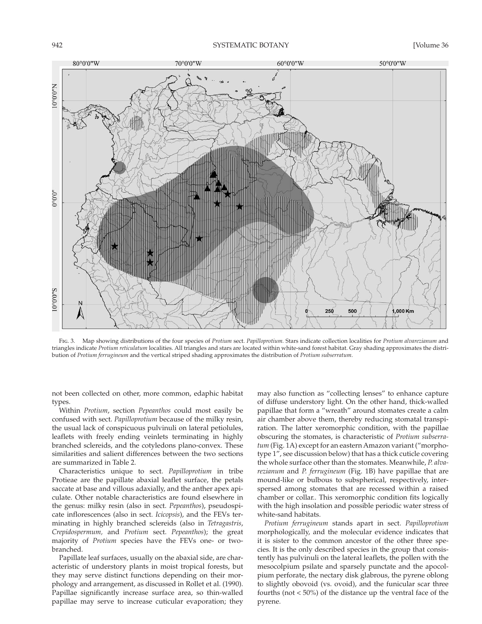

 Fig. 3. Map showing distributions of the four species of *Protium* sect. *Papilloprotium.* Stars indicate collection localities for *Protium alvarezianum* and triangles indicate *Protium reticulatum* localities. All triangles and stars are located within white-sand forest habitat. Gray shading approximates the distribution of *Protium ferrugineum* and the vertical striped shading approximates the distribution of *Protium subserratum* .

not been collected on other, more common, edaphic habitat types.

Within *Protium*, section *Pepeanthos* could most easily be confused with sect. *Papilloprotium* because of the milky resin, the usual lack of conspicuous pulvinuli on lateral petiolules, leaflets with freely ending veinlets terminating in highly branched sclereids, and the cotyledons plano-convex. These similarities and salient differences between the two sections are summarized in Table 2.

 Characteristics unique to sect. *Papilloprotium* in tribe Protieae are the papillate abaxial leaflet surface, the petals saccate at base and villous adaxially, and the anther apex apiculate. Other notable characteristics are found elsewhere in the genus: milky resin (also in sect. *Pepeanthos* ), pseudospicate inflorescences (also in sect. *Icicopsis* ), and the FEVs terminating in highly branched sclereids (also in *Tetragastris* , *Crepidospermum,* and *Protium* sect. *Pepeanthos* ); the great majority of *Protium* species have the FEVs one- or twobranched.

 Papillate leaf surfaces, usually on the abaxial side, are characteristic of understory plants in moist tropical forests, but they may serve distinct functions depending on their morphology and arrangement, as discussed in Rollet et al. (1990). Papillae significantly increase surface area, so thin-walled papillae may serve to increase cuticular evaporation; they

may also function as "collecting lenses" to enhance capture of diffuse understory light. On the other hand, thick-walled papillae that form a "wreath" around stomates create a calm air chamber above them, thereby reducing stomatal transpiration. The latter xeromorphic condition, with the papillae obscuring the stomates, is characteristic of *Protium subserra*tum (Fig. 1A) except for an eastern Amazon variant ("morphotype 1", see discussion below) that has a thick cuticle covering the whole surface other than the stomates. Meanwhile, *P. alvarezianum* and *P. ferrugineum* (Fig. 1B) have papillae that are mound-like or bulbous to subspherical, respectively, interspersed among stomates that are recessed within a raised chamber or collar.. This xeromorphic condition fits logically with the high insolation and possible periodic water stress of white-sand habitats.

*Protium ferrugineum* stands apart in sect. *Papilloprotium* morphologically, and the molecular evidence indicates that it is sister to the common ancestor of the other three species. It is the only described species in the group that consistently has pulvinuli on the lateral leaflets, the pollen with the mesocolpium psilate and sparsely punctate and the apocolpium perforate, the nectary disk glabrous, the pyrene oblong to slightly obovoid (vs. ovoid), and the funicular scar three fourths (not < 50%) of the distance up the ventral face of the pyrene.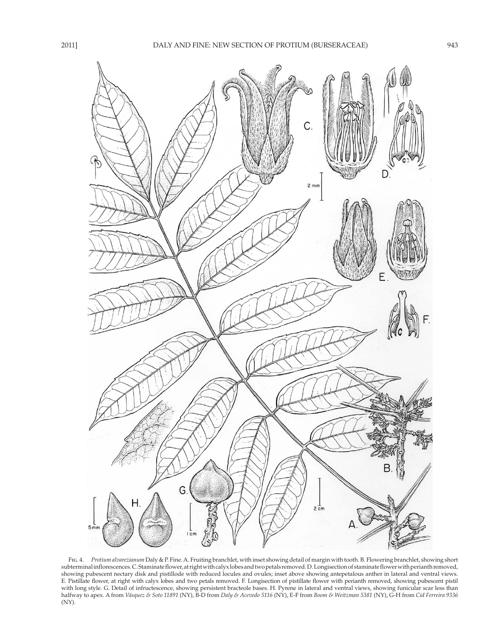

 Fig. 4. *Protium alvarezianum* Daly & P. Fine. A. Fruiting branchlet, with inset showing detail of margin with tooth. B. Flowering branchlet, showing short subterminal inflorescences. C. Staminate flower, at right with calyx lobes and two petals removed. D. Longisection of staminate flower with perianth removed, showing pubescent nectary disk and pistillode with reduced locules and ovules; inset above showing antepetalous anther in lateral and ventral views. E. Pistillate flower, at right with calyx lobes and two petals removed. F. Longisection of pistillate flower with perianth removed, showing pubescent pistil with long style. G. Detail of infructescence, showing persistent bracteole bases. H. Pyrene in lateral and ventral views, showing funicular scar less than halfway to apex. A from *Vásquez & Soto 11891* (NY), B-D from *Daly & Acevedo 5116* (NY), E-F from *Boom & Weitzman 5381* (NY), G-H from *Cid Ferreira 9336* (NY).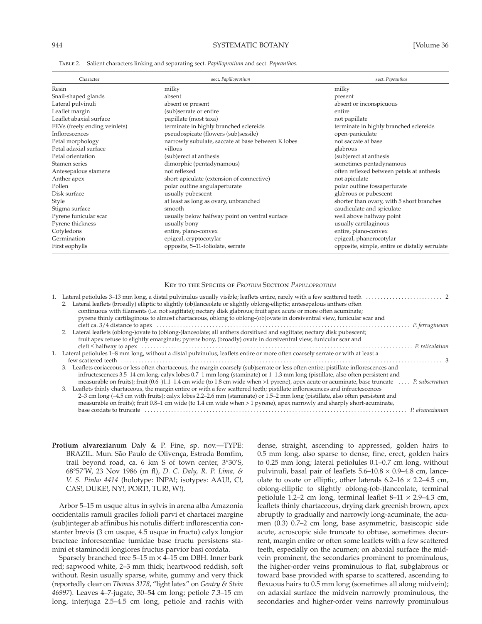#### Table 2. Salient characters linking and separating sect. *Papilloprotium* and sect. *Pepeanthos.*

| Character                     | sect. Papilloprotium                               | sect. Pepeanthos                               |
|-------------------------------|----------------------------------------------------|------------------------------------------------|
| Resin                         | milky                                              | milky                                          |
| Snail-shaped glands           | absent                                             | present                                        |
| Lateral pulvinuli             | absent or present                                  | absent or inconspicuous                        |
| Leaflet margin                | (sub)serrate or entire                             | entire                                         |
| Leaflet abaxial surface       | papillate (most taxa)                              | not papillate                                  |
| FEVs (freely ending veinlets) | terminate in highly branched sclereids             | terminate in highly branched sclereids         |
| Inflorescences                | pseudospicate (flowers (sub)sessile)               | open-paniculate                                |
| Petal morphology              | narrowly subulate, saccate at base between K lobes | not saccate at base                            |
| Petal adaxial surface         | villous                                            | glabrous                                       |
| Petal orientation             | (sub)erect at anthesis                             | (sub)erect at anthesis                         |
| Stamen series                 | dimorphic (pentadynamous)                          | sometimes pentadynamous                        |
| Antesepalous stamens          | not reflexed                                       | often reflexed between petals at anthesis      |
| Anther apex                   | short-apiculate (extension of connective)          | not apiculate                                  |
| Pollen                        | polar outline angulaperturate                      | polar outline fossaperturate                   |
| Disk surface                  | usually pubescent                                  | glabrous or pubescent                          |
| Style                         | at least as long as ovary, unbranched              | shorter than ovary, with 5 short branches      |
| Stigma surface                | smooth                                             | caudiculate and spiculate                      |
| Pyrene funicular scar         | usually below halfway point on ventral surface     | well above halfway point                       |
| Pyrene thickness              | usually bony                                       | usually cartilaginous                          |
| Cotyledons                    | entire, plano-convex                               | entire, plano-convex                           |
| Germination                   | epigeal, cryptocotylar                             | epigeal, phanerocotylar                        |
| First eophylls                | opposite, 5-11-foliolate, serrate                  | opposite, simple, entire or distally serrulate |

# Key to the Species of *PROTIUM* Section *PAPILLOPROTIUM*

| 2. Lateral leaflets (broadly) elliptic to slightly (ob)lanceolate or slightly oblong-elliptic; antesepalous anthers often                  |                |
|--------------------------------------------------------------------------------------------------------------------------------------------|----------------|
| continuous with filaments (i.e. not sagittate); nectary disk glabrous; fruit apex acute or more often acuminate;                           |                |
| pyrene thinly cartilaginous to almost chartaceous, oblong to oblong-(ob)ovate in dorsiventral view, funicular scar and                     |                |
|                                                                                                                                            | P. ferrugineum |
| 2. Lateral leaflets (oblong-)ovate to (oblong-)lanceolate; all anthers dorsifixed and sagittate; nectary disk pubescent;                   |                |
| fruit apex retuse to slightly emarginate; pyrene bony, (broadly) ovate in dorsiventral view, funicular scar and                            |                |
|                                                                                                                                            | P. reticulatum |
| 1. Lateral petiolules 1-8 mm long, without a distal pulvinulus; leaflets entire or more often coarsely serrate or with at least a          |                |
|                                                                                                                                            |                |
| 3. Leaflets coriaceous or less often chartaceous, the margin coarsely (sub)serrate or less often entire; pistillate inflorescences and     |                |
| infructescences 3.5–14 cm long; calyx lobes 0.7–1 mm long (staminate) or 1–1.3 mm long (pistillate, also often persistent and              |                |
| measurable on fruits); fruit (0.6-)1.1-1.4 cm wide (to 1.8 cm wide when >1 pyrene), apex acute or acuminate, base truncate  P. subserratum |                |
| 3. Leaflets thinly chartaceous, the margin entire or with a few scattered teeth; pistillate inflorescences and infructescences             |                |
| 2–3 cm long (-4.5 cm with fruits); calvx lobes 2.2–2.6 mm (staminate) or 1.5–2 mm long (pistillate, also often persistent and              |                |
| measurable on fruits); fruit $0.8-1$ cm wide (to $1.4$ cm wide when $>1$ pyrene), apex narrowly and sharply short-acuminate,               |                |
| base cordate to truncate                                                                                                                   | P almarezianun |
|                                                                                                                                            |                |

**Protium alvarezianum** Daly & P. Fine, sp. nov.—TYPE: BRAZIL. Mun. São Paulo de Olivença, Estrada Bomfim, trail beyond road, ca. 6 km S of town center, 3°30'S, 68°57'W, 23 Nov 1986 (m fl), *D. C. Daly, R. P. Lima, & V. S. Pinho 4414* (holotype: INPA!; isotypes: AAU!, C!, CAS!, DUKE!, NY!, PORT!, TUR!, W!).

 Arbor 5–15 m usque altus in sylvis in arena alba Amazonia occidentalis ramuli graciles folioli parvi et chartacei margine (sub)integer ab affinibus his notulis differt: inflorescentia constanter brevis (3 cm usque, 4.5 usque in fructu) calyx longior bracteae inforescentiae tumidae base fructu persistens stamini et staminodii longiores fructus parvior basi cordata.

Sparsely branched tree  $5-15$  m  $\times$  4-15 cm DBH. Inner bark red; sapwood white, 2–3 mm thick; heartwood reddish, soft without. Resin usually sparse, white, gummy and very thick (reportedly clear on *Thomas 3178* , "light latex" on *Gentry & Stein 46997* ). Leaves 4–7-jugate, 30–54 cm long; petiole 7.3–15 cm long, interjuga 2.5–4.5 cm long, petiole and rachis with dense, straight, ascending to appressed, golden hairs to 0.5 mm long, also sparse to dense, fine, erect, golden hairs to 0.25 mm long; lateral petiolules 0.1–0.7 cm long, without pulvinuli, basal pair of leaflets  $5.6-10.8 \times 0.9-4.8$  cm, lanceolate to ovate or elliptic, other laterals  $6.2$ – $16 \times 2.2$ – $4.5$  cm, oblong-elliptic to slightly oblong-(ob-)lanceolate, terminal petiolule 1.2–2 cm long, terminal leaflet  $8-11 \times 2.9-4.3$  cm, leaflets thinly chartaceous, drying dark greenish brown, apex abruptly to gradually and narrowly long-acuminate, the acumen (0.3) 0.7–2 cm long, base asymmetric, basiscopic side acute, acroscopic side truncate to obtuse, sometimes decurrent, margin entire or often some leaflets with a few scattered teeth, especially on the acumen; on abaxial surface the midvein prominent, the secondaries prominent to prominulous, the higher-order veins prominulous to flat, subglabrous or toward base provided with sparse to scattered, ascending to flexuous hairs to 0.5 mm long (sometimes all along midvein); on adaxial surface the midvein narrowly prominulous, the secondaries and higher-order veins narrowly prominulous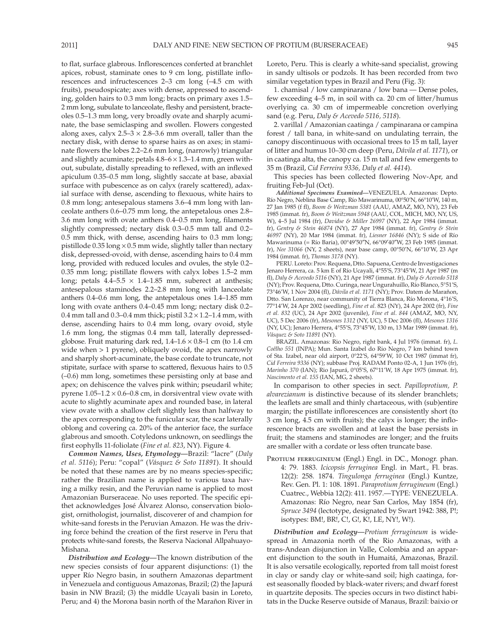Loreto, Peru. This is clearly a white-sand specialist, growing in sandy ultisols or podzols. It has been recorded from two similar vegetation types in Brazil and Peru (Fig. 3): 1. chamisal / low campinarana / low bana — Dense poles, few exceeding 4–5 m, in soil with ca. 20 cm of litter/humus overlying ca. 30 cm of impermeable concretion overlying sand (e.g. Peru, *Daly & Acevedo 5116, 5118* ). 2. varillal / Amazonian caatinga / campinarana or campina forest / tall bana, in white-sand on undulating terrain, the canopy discontinuous with occasional trees to 15 m tall, layer of litter and humus 10–30 cm deep (Peru, *Dávila et al. 1171* ), or in caatinga alta, the canopy ca. 15 m tall and few emergents to 35 m (Brazil, *Cid Ferreira 9336, Daly et al. 4414* ).

 This species has been collected flowering Nov-Apr, and fruiting Feb-Jul (Oct).

 *Additional Specimens Examined—* VENEZUELA. Amazonas: Depto. Río Negro, Neblina Base Camp, Río Mawarinuma, 00°50'N, 66°10'W, 140 m, 27 Jan 1985 (f fl), *Boom & Weitzman 5381* (AAU, AMAZ, MO, NY), 23 Feb 1985 (immat. fr), *Boom & Weitzman 5948* (AAU, COL, MICH, MO, NY, US, W), 4–5 Jul 1984 (fr), *Davidse & Miller 26997* (NY), 22 Apr 1984 (immat. fr), *Gentry & Stein 46874* (NY), 27 Apr 1984 (immat. fr), *Gentry & Stein 46997* (NY), 20 Mar 1984 (immat. fr), *Liesner 16846* (NY); S side of Río Mawarinuma (= Río Baria), 00°49′50″N, 66°09′40″W, 23 Feb 1985 (immat. fr), *Nee 31066* (NY, 2 sheets), near base camp, 00°50'N, 66°10'W, 23 Apr 1984 (immat. fr), *Thomas 3178* (NY).

 PERU. Loreto: Prov. Requena, Dtto. Sapuena, Centro de Investigaciones Jenaro Herrera, ca. 5 km E of Río Ucayali, 4°55'S, 73°45'W, 21 Apr 1987 (m fl), *Daly & Acevedo 5116* (NY), 21 Apr 1987 (immat. fr), *Daly & Acevedo 5118* (NY); Prov. Requena, Dtto. Curinga, near Ungurahuillo, Río Blanco, 5°51'S, 73°46'W, 1 Nov 2004 (fl), *Dávila et al. 1171* (NY); Prov. Datem de Marañon, Dtto. San Lorenzo, near community of Tierra Blanca, Río Morona, 4°16'S, 77°14'W, 24 Apr 2002 (seedling), *Fine et al.* 823 (NY), 24 Apr 2002 (fr), *Fine et al. 832* (UC), 24 Apr 2002 (juvenile), *Fine et al* . *844* (AMAZ, MO, NY, UC), 5 Dec 2006 (fr), *Mesones 1312* (NY, UC), 5 Dec 2006 (fl), *Mesones 1316* (NY, UC); Jenaro Herrera, 4°55'S, 73°45'W, 130 m, 13 Mar 1989 (immat. fr), *Vásquez & Soto 11891* (NY).

 BRAZIL. Amazonas: Rio Negro, right bank, 4 Jul 1976 (immat. fr), *L. Coêlho 551* (INPA); Mun. Santa Izabel do Rio Negro, 7 km behind town of Sta. Izabel, near old airport, 0°22'S, 64°59'W, 10 Oct 1987 (immat fr), *Cid Ferreira 9336* (NY); subbase Proj. RADAM Ponto 02-A, 1 Jun 1976 (fr), *Marinho 370* (IAN); Rio Japurá, 0°05'S, 67°11'W, 18 Apr 1975 (immat. fr), *Nascimento et al. 155* (IAN, MG, 2 sheets).

 In comparison to other species in sect. *Papilloprotium, P. alvarezianum* is distinctive because of its slender branchlets; the leaflets are small and thinly chartaceous, with (sub)entire margin; the pistillate inflorescences are consistently short (to 3 cm long, 4.5 cm with fruits); the calyx is longer; the inflorescence bracts are swollen and at least the base persists in fruit; the stamens and staminodes are longer; and the fruits are smaller with a cordate or less often truncate base.

PROTIUM FERRUGINEUM (Engl.) Engl. in DC., Monogr. phan. 4: 79. 1883. *Icicopsis ferruginea* Engl. in Mart., Fl. bras. 12(2): 258. 1874. *Tingulonga ferruginea* (Engl.) Kuntze, Rev. Gen. Pl. 1: 108. 1891. *Paraprotium ferrugineum* (Engl.) Cuatrec., Webbia 12(2): 411. 1957.—TYPE: VENEZUELA. Amazonas: Río Negro, near San Carlos, May 1854 (fr), Spruce 3494 (lectotype, designated by Swart 1942: 388, P!; isotypes: BM!, BR!, C!, G!, K!, LE, NY!, W!).

 *Distribution and Ecology—Protium ferrugineum* is widespread in Amazonia north of the Rio Amazonas, with a trans-Andean disjunction in Valle, Colombia and an apparent disjunction to the south in Humaitá, Amazonas, Brazil. It is also versatile ecologically, reported from tall moist forest in clay or sandy clay or white-sand soil; high caatinga, forest seasonally flooded by black-water rivers; and dwarf forest in quartzite deposits. The species occurs in two distinct habitats in the Ducke Reserve outside of Manaus, Brazil: baixio or

apices, robust, staminate ones to 9 cm long, pistillate inflorescences and infructescences 2–3 cm long (–4.5 cm with fruits), pseudospicate; axes with dense, appressed to ascending, golden hairs to 0.3 mm long; bracts on primary axes 1.5– 2 mm long, subulate to lanceolate, fleshy and persistent, bracteoles 0.5–1.3 mm long, very broadly ovate and sharply acuminate, the base semiclasping and swollen. Flowers congested along axes, calyx  $2.5-3 \times 2.8-3.6$  mm overall, taller than the nectary disk, with dense to sparse hairs as on axes; in staminate flowers the lobes 2.2–2.6 mm long, (narrowly) triangular and slightly acuminate; petals  $4.8-6 \times 1.3-1.4$  mm, green without, subulate, distally spreading to reflexed, with an inflexed apiculum 0.35–0.5 mm long, slightly saccate at base, abaxial surface with pubescence as on calyx (rarely scattered), adaxial surface with dense, ascending to flexuous, white hairs to 0.8 mm long; antesepalous stamens 3.6–4 mm long with lanceolate anthers 0.6–0.75 mm long, the antepetalous ones 2.8– 3.6 mm long with ovate anthers 0.4–0.5 mm long, filaments slightly compressed; nectary disk 0.3–0.5 mm tall and 0.2– 0.5 mm thick, with dense, ascending hairs to 0.3 mm long; pistillode  $0.35 \text{ long} \times 0.5 \text{ mm}$  wide, slightly taller than nectary disk, depressed-ovoid, with dense, ascending hairs to 0.4 mm long, provided with reduced locules and ovules, the style 0.2– 0.35 mm long; pistillate flowers with calyx lobes 1.5–2 mm long; petals  $4.4-5.5 \times 1.4-1.85$  mm, suberect at anthesis; antesepalous staminodes 2.2–2.8 mm long with lanceolate anthers 0.4–0.6 mm long, the antepetalous ones 1.4–1.85 mm long with ovate anthers 0.4–0.45 mm long; nectary disk 0.2– 0.4 mm tall and 0.3–0.4 mm thick; pistil  $3.2 \times 1.2$ –1.4 mm, with dense, ascending hairs to 0.4 mm long, ovary ovoid, style 1.6 mm long, the stigmas 0.4 mm tall, laterally depressedglobose. Fruit maturing dark red,  $1.4-1.6 \times 0.8-1$  cm (to 1.4 cm wide when > 1 pyrene), obliquely ovoid, the apex narrowly and sharply short-acuminate, the base cordate to truncate, not stipitate, surface with sparse to scattered, flexuous hairs to 0.5 (–0.6) mm long, sometimes these persisting only at base and apex; on dehiscence the valves pink within; pseudaril white; pyrene  $1.05-1.2 \times 0.6-0.8$  cm, in dorsiventral view ovate with acute to slightly acuminate apex and rounded base, in lateral view ovate with a shallow cleft slightly less than halfway to the apex corresponding to the funicular scar, the scar laterally oblong and covering ca. 20% of the anterior face, the surface glabrous and smooth. Cotyledons unknown, on seedlings the first eophylls 11-foliolate (Fine et al. 823, NY). Figure 4.  *Common Names, Uses, Etymology—* Brazil: "lacre" ( *Daly* 

to flat, surface glabrous. Inflorescences conferted at branchlet

*et al. 5116* ); Peru: "copal" ( *Vásquez & Soto 11891* ). It should be noted that these names are by no means species-specific; rather the Brazilian name is applied to various taxa having a milky resin, and the Peruvian name is applied to most Amazonian Burseraceae. No uses reported. The specific epithet acknowledges José Álvarez Alonso, conservation biologist, ornithologist, journalist, discoverer of and champion for white-sand forests in the Peruvian Amazon. He was the driving force behind the creation of the first reserve in Peru that protects white-sand forests, the Reserva Nacional Allpahuayo-Mishana.

 *Distribution and Ecology—* The known distribution of the new species consists of four apparent disjunctions: (1) the upper Río Negro basin, in southern Amazonas department in Venezuela and contiguous Amazonas, Brazil; (2) the Japurá basin in NW Brazil; (3) the middle Ucayali basin in Loreto, Peru; and 4) the Morona basin north of the Marañon River in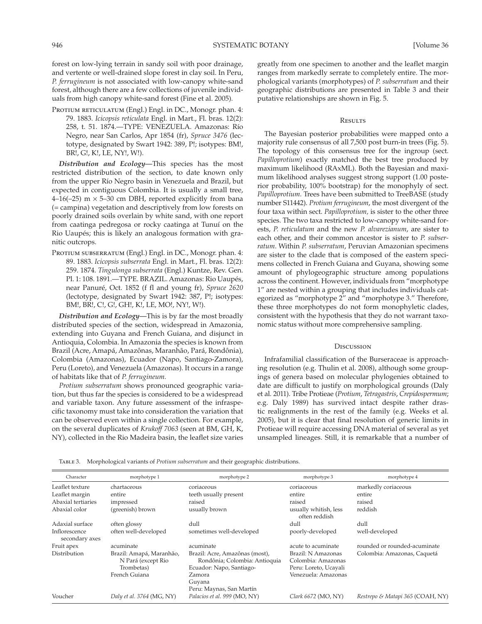forest on low-lying terrain in sandy soil with poor drainage, and vertente or well-drained slope forest in clay soil. In Peru, *P. ferrugineum* is not associated with low-canopy white-sand forest, although there are a few collections of juvenile individuals from high canopy white-sand forest (Fine et al. 2005).

PROTIUM RETICULATUM (Engl.) Engl. in DC., Monogr. phan. 4: 79. 1883. *Icicopsis reticulata* Engl. in Mart., Fl. bras. 12(2): 258, t. 51. 1874.—TYPE: VENEZUELA. Amazonas: Río Negro, near San Carlos, Apr 1854 (fr), *Spruce 3476* (lectotype, designated by Swart 1942: 389, P!; isotypes: BM!, BR!, G!, K!, LE, NY!, W!).

 *Distribution and Ecology—* This species has the most restricted distribution of the section, to date known only from the upper Río Negro basin in Venezuela and Brazil, but expected in contiguous Colombia. It is usually a small tree, 4–16(–25) m  $\times$  5–30 cm DBH, reported explicitly from bana (= campina) vegetation and descriptively from low forests on poorly drained soils overlain by white sand, with one report from caatinga pedregosa or rocky caatinga at Tunuí on the Rio Uaupés; this is likely an analogous formation with granitic outcrops.

PROTIUM SUBSERRATUM (Engl.) Engl. in DC., Monogr. phan. 4: 89. 1883. *Icicopsis subserrata* Engl. in Mart., Fl. bras. 12(2): 259. 1874. *Tingulonga subserrata* (Engl.) Kuntze, Rev. Gen. Pl. 1: 108. 1891.—TYPE. BRAZIL. Amazonas: Rio Uaupés, near Panuré, Oct. 1852 (f fl and young fr), *Spruce 2620* (lectotype, designated by Swart 1942: 387, P!; isotypes: BM!, BR!, C!, G!, GH!, K!, LE, MO!, NY!, W!).

 *Distribution and Ecology—* This is by far the most broadly distributed species of the section, widespread in Amazonia, extending into Guyana and French Guiana, and disjunct in Antioquia, Colombia. In Amazonia the species is known from Brazil (Acre, Amapá, Amazônas, Maranhão, Pará, Rondônia), Colombia (Amazonas), Ecuador (Napo, Santiago-Zamora), Peru (Loreto), and Venezuela (Amazonas). It occurs in a range of habitats like that of *P. ferrugineum.*

*Protium subserratum* shows pronounced geographic variation, but thus far the species is considered to be a widespread and variable taxon. Any future assessment of the infraspecific taxonomy must take into consideration the variation that can be observed even within a single collection. For example, on the several duplicates of *Krukoff 7063* (seen at BM, GH, K, NY), collected in the Rio Madeira basin, the leaflet size varies

greatly from one specimen to another and the leaflet margin ranges from markedly serrate to completely entire. The morphological variants (morphotypes) of *P. subserratum* and their geographic distributions are presented in Table 3 and their putative relationships are shown in Fig. 5.

## **RESULTS**

 The Bayesian posterior probabilities were mapped onto a majority rule consensus of all 7,500 post burn-in trees (Fig. 5). The topology of this consensus tree for the ingroup (sect. *Papilloprotium*) exactly matched the best tree produced by maximum likelihood (RAxML). Both the Bayesian and maximum likelihood analyses suggest strong support (1.00 posterior probability, 100% bootstrap) for the monophyly of sect. *Papilloprotium*. Trees have been submitted to TreeBASE (study number S11442). *Protium ferrugineum*, the most divergent of the four taxa within sect. *Papilloprotium,* is sister to the other three species. The two taxa restricted to low-canopy white-sand forests, *P. reticulatum* and the new *P. alvarezianum*, are sister to each other, and their common ancestor is sister to *P. subserratum* . Within *P. subserratum* , Peruvian Amazonian specimens are sister to the clade that is composed of the eastern specimens collected in French Guiana and Guyana, showing some amount of phylogeographic structure among populations across the continent. However, individuals from "morphotype 1" are nested within a grouping that includes individuals categorized as "morphotype 2" and "morphotype 3." Therefore, these three morphotypes do not form monophyletic clades, consistent with the hypothesis that they do not warrant taxonomic status without more comprehensive sampling.

# **DISCUSSION**

 Infrafamilial classification of the Burseraceae is approaching resolution (e.g. Thulin et al. 2008), although some groupings of genera based on molecular phylogenies obtained to date are difficult to justify on morphological grounds (Daly et al. 2011 ). Tribe Protieae ( *Protium* , *Tetragastris* , *Crepidospermum* ; e.g. Daly 1989) has survived intact despite rather drastic realignments in the rest of the family (e.g. Weeks et al. 2005), but it is clear that final resolution of generic limits in Protieae will require accessing DNA material of several as yet unsampled lineages. Still, it is remarkable that a number of

Table 3. Morphological variants of *Protium subserratum* and their geographic distributions.

| Character                       | morphotype 1                                   | morphotype 2                                                    | morphotype 3                             | morphotype 4                     |
|---------------------------------|------------------------------------------------|-----------------------------------------------------------------|------------------------------------------|----------------------------------|
| Leaflet texture                 | chartaceous                                    | coriaceous                                                      | coriaceous                               | markedly coriaceous              |
| Leaflet margin                  | entire                                         | teeth usually present                                           | entire                                   | entire                           |
| Abaxial tertiaries              | impressed                                      | raised                                                          | raised                                   | raised                           |
| Abaxial color                   | (greenish) brown                               | usually brown                                                   | usually whitish, less<br>often reddish   | reddish                          |
| Adaxial surface                 | often glossy                                   | dull                                                            | dull                                     | dull                             |
| Inflorescence<br>secondary axes | often well-developed                           | sometimes well-developed                                        | poorly-developed                         | well-developed                   |
| Fruit apex                      | acuminate                                      | acuminate                                                       | acute to acuminate                       | rounded or rounded-acuminate     |
| Distribution                    | Brazil: Amapá, Maranhão,<br>N Pará (except Rio | Brazil: Acre, Amazônas (most),<br>Rondônia; Colombia: Antioquia | Brazil: N Amazonas<br>Colombia: Amazonas | Colombia: Amazonas, Caquetá      |
|                                 | Trombetas)                                     | Ecuador: Napo, Santiago-                                        | Peru: Loreto, Ucayali                    |                                  |
|                                 | French Guiana                                  | Zamora<br>Guyana<br>Peru: Maynas, San Martín                    | Venezuela: Amazonas                      |                                  |
| Voucher                         | Daly et al. 3764 (MG, NY)                      | Palacios et al. 999 (MO, NY)                                    | Clark 6672 (MO, NY)                      | Restrepo & Matapi 365 (COAH, NY) |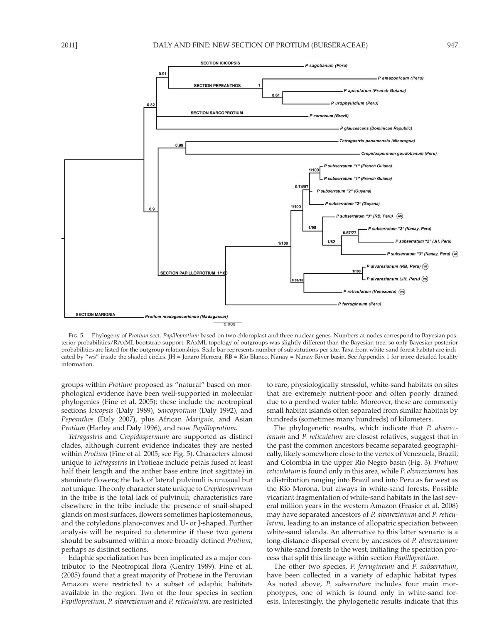

 Fig. 5. Phylogeny of *Protium* sect. *Papilloprotium* based on two chloroplast and three nuclear genes. Numbers at nodes correspond to Bayesian posterior probabilities/RAxML bootstrap support. RAxML topology of outgroups was slightly different than the Bayesian tree, so only Bayesian posterior probabilities are listed for the outgroup relationships. Scale bar represents number of substitutions per site. Taxa from white-sand forest habitat are indicated by "ws" inside the shaded circles. JH = Jenaro Herrera, RB = Río Blanco, Nanay = Nanay River basin. See Appendix 1 for more detailed locality information.

groups within *Protium* proposed as "natural" based on morphological evidence have been well-supported in molecular phylogenies (Fine et al. 2005); these include the neotropical sections *Icicopsis* (Daly 1989), *Sarcoprotium* (Daly 1992), and *Pepeanthos* (Daly 2007), plus African *Marignia*, and Asian *Protium* (Harley and Daly 1996), and now *Papilloprotium*.

*Tetragastris* and *Crepidospermum* are supported as distinct clades, although current evidence indicates they are nested within *Protium* (Fine et al. 2005; see Fig. 5). Characters almost unique to *Tetragastris* in Protieae include petals fused at least half their length and the anther base entire (not sagittate) in staminate flowers; the lack of lateral pulvinuli is unusual but not unique. The only character state unique to *Crepidospermum* in the tribe is the total lack of pulvinuli; characteristics rare elsewhere in the tribe include the presence of snail-shaped glands on most surfaces, flowers sometimes haplostemonous, and the cotyledons plano-convex and U- or J-shaped. Further analysis will be required to determine if these two genera should be subsumed within a more broadly defined *Protium* , perhaps as distinct sections.

 Edaphic specialization has been implicated as a major contributor to the Neotropical flora (Gentry 1989). Fine et al. (2005) found that a great majority of Protieae in the Peruvian Amazon were restricted to a subset of edaphic habitats available in the region. Two of the four species in section *Papilloprotium* , *P. alvarezianum* and *P. reticulatum,* are restricted

to rare, physiologically stressful, white-sand habitats on sites that are extremely nutrient-poor and often poorly drained due to a perched water table. Moreover, these are commonly small habitat islands often separated from similar habitats by hundreds (sometimes many hundreds) of kilometers.

 The phylogenetic results, which indicate that *P. alvarezianum* and *P. reticulatum* are closest relatives, suggest that in the past the common ancestors became separated geographically, likely somewhere close to the vertex of Venezuela, Brazil, and Colombia in the upper Río Negro basin (Fig. 3). *Protium reticulatum* is found only in this area, while *P. alvarezianum* has a distribution ranging into Brazil and into Peru as far west as the Río Morona, but always in white-sand forests. Possible vicariant fragmentation of white-sand habitats in the last several million years in the western Amazon (Frasier et al. 2008) may have separated ancestors of *P. alvarezianum* and *P. reticulatum*, leading to an instance of allopatric speciation between white-sand islands. An alternative to this latter scenario is a long-distance dispersal event by ancestors of *P. alvarezianum* to white-sand forests to the west, initiating the speciation process that split this lineage within section *Papilloprotium* .

 The other two species, *P. ferrugineum* and *P. subserratum* , have been collected in a variety of edaphic habitat types. As noted above, *P. subserratum* includes four main morphotypes, one of which is found only in white-sand forests. Interestingly, the phylogenetic results indicate that this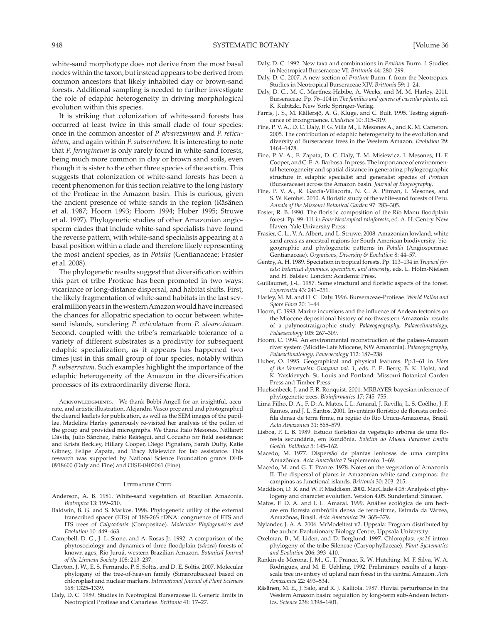white-sand morphotype does not derive from the most basal nodes within the taxon, but instead appears to be derived from common ancestors that likely inhabited clay or brown-sand forests. Additional sampling is needed to further investigate the role of edaphic heterogeneity in driving morphological evolution within this species.

 It is striking that colonization of white-sand forests has occurred at least twice in this small clade of four species: once in the common ancestor of *P. alvarezianum* and *P. reticu*latum, and again within *P. subserratum*. It is interesting to note that *P. ferrugineum* is only rarely found in white-sand forests, being much more common in clay or brown sand soils, even though it is sister to the other three species of the section. This suggests that colonization of white-sand forests has been a recent phenomenon for this section relative to the long history of the Protieae in the Amazon basin. This is curious, given the ancient presence of white sands in the region (Räsänen et al. 1987; Hoorn 1993; Hoorn 1994; Huber 1995; Struwe et al. 1997). Phylogenetic studies of other Amazonian angiosperm clades that include white-sand specialists have found the reverse pattern, with white-sand specialists appearing at a basal position within a clade and therefore likely representing the most ancient species, as in *Potalia* (Gentianaceae; Frasier et al. 2008).

 The phylogenetic results suggest that diversification within this part of tribe Protieae has been promoted in two ways: vicariance or long-distance dispersal, and habitat shifts. First, the likely fragmentation of white-sand habitats in the last several million years in the western Amazon would have increased the chances for allopatric speciation to occur between whitesand islands, sundering *P. reticulatum* from *P. alvarezianum.* Second, coupled with the tribe's remarkable tolerance of a variety of different substrates is a proclivity for subsequent edaphic specialization, as it appears has happened two times just in this small group of four species, notably within *P. subserratum* . Such examples highlight the importance of the edaphic heterogeneity of the Amazon in the diversification processes of its extraordinarily diverse flora.

ACKNOWLEDGMENTS. We thank Bobbi Angell for an insightful, accurate, and artistic illustration. Alejandra Vasco prepared and photographed the cleared leaflets for publication, as well as the SEM images of the papillae. Madeline Harley generously re-visited her analysis of the pollen of the group and provided micrographs. We thank Italo Mesones, Nállarett Dávila, Julio Sánchez, Fabio Reátegui, and Cocusho for field assistance; and Krista Beckley, Hillary Cooper, Diego Pignataro, Sarah Duffy, Katie Gibney, Felipe Zapata, and Tracy Misiewicz for lab assistance. This research was supported by National Science Foundation grants DEB-0918600 (Daly and Fine) and OISE-0402061 (Fine).

#### Literature Cited

- Anderson, A. B. 1981. White-sand vegetation of Brazilian Amazonia. Biotropica 13: 199-210.
- Baldwin, B. G. and S. Markos . 1998 . Phylogenetic utility of the external transcribed spacer (ETS) of 18S-26S rDNA: congruence of ETS and ITS trees of *Calycadenia* (Compositae) . *Molecular Phylogenetics and Evolution* 10: 449-463.
- Campbell, D. G., J. L. Stone, and A. Rosas Jr. 1992. A comparison of the phytosociology and dynamics of three floodplain ( *várzea* ) forests of known ages, Rio Juruá, western Brazilian Amazon . *Botanical Journal*  of the Linnean Society 108: 213-237.
- Clayton, J. W., E. S. Fernando, P. S. Soltis, and D. E. Soltis. 2007. Molecular phylogeny of the tree-of-heaven family (Simaroubaceae) based on chloroplast and nuclear markers . *International Journal of Plant Sciences* 168: 1325-1339.
- Daly, D. C. 1989. Studies in Neotropical Burseraceae II. Generic limits in Neotropical Protieae and Canarieae. *Brittonia* 41: 17-27.
- Daly, D. C. 1992. New taxa and combinations in *Protium* Burm. f. Studies in Neotropical Burseraceae VI. Brittonia 44: 280-299.
- Daly, D. C. 2007. A new section of *Protium* Burm. f. from the Neotropics. Studies in Neotropical Burseraceae XIV. Brittonia 59: 1-24.
- Daly, D. C., M. C. Martínez-Habibe, A. Weeks, and M. M. Harley. 2011. Burseraceae . Pp. 76 – 104 in *The families and genera of vascular plants* , ed. K. Kubitzki. New York: Springer-Verlag.
- Farris, J. S., M. Källersjö, A. G. Kluge, and C. Bult. 1995. Testing significance of incongruence. *Cladistics* 10: 315-319.
- Fine, P. V. A., D. C. Daly, F. G. Villa M., I. Mesones A., and K. M. Cameron. 2005 . The contribution of edaphic heterogeneity to the evolution and diversity of Burseraceae trees in the Western Amazon . *Evolution* 29: 1464-1478.
- Fine, P. V. A., F. Zapata, D. C. Daly, T. M. Misiewicz, I. Mesones, H. F. Cooper, and C. E. A. Barbosa. In press. The importance of environmental heterogeneity and spatial distance in generating phylogeographic structure in edaphic specialist and generalist species of *Protium* (Burseraceae) across the Amazon basin . *Journal of Biogeography* .
- Fine, P. V. A., R. García-Villacorta, N. C. A. Pitman, I. Mesones, and S. W. Kembel. 2010. A floristic study of the white-sand forests of Peru. Annals of the Missouri Botanical Garden 97: 283-305.
- Foster, R. B. 1990. The floristic composition of the Río Manu floodplain forest . Pp. 99 – 111 in *Four Neotropical rainforests* , ed. A. H. Gentry . New Haven: Yale University Press.
- Frasier, C. L., V. A. Albert, and L. Struwe. 2008. Amazonian lowland, white sand areas as ancestral regions for South American biodiversity: biogeographic and phylogenetic patterns in *Potalia* (Angiospermae: Gentianaceae). *Organisms, Diversity & Evolution 8*: 44-57
- Gentry, A. H. 1989. Speciation in tropical forests. Pp. 113-134 in *Tropical forests: botanical dynamics, speciation, and diversity* , eds. L. Holm-Nielsen and H. Balslev. London: Academic Press.
- Guillaumet, J.-L. 1987. Some structural and floristic aspects of the forest. *Experientia* 43: 241-251.
- Harley, M. M. and D. C. Daly . 1996 . Burseraceae-Protieae . *World Pollen and Spore Flora* 20: 1–44.
- Hoorn, C. 1993. Marine incursions and the influence of Andean tectonics on the Miocene depositional history of northwestern Amazonia: results of a palynostratigraphic study . *Palaeogeography, Palaeoclimatology, Palaeoecology* 105: 267 – 309 .
- Hoorn, C. 1994. An environmental reconstruction of the palaeo-Amazon river system (Middle-Late Miocene, NW Amazonia) . *Palaeogeography, Palaeoclimatology, Palaeoecology* 112: 187 – 238 .
- Huber, O. 1995. Geographical and physical features. Pp.1-61 in *Flora* of the Venezuelan Guayana vol. 1, eds. P. E. Berry, B. K. Holst, and K. Yatskievych. St. Louis and Portland: Missouri Botanical Garden Press and Timber Press .
- Huelsenbeck, J. and F. R. Ronquist . 2001 . MRBAYES: bayesian inference of phylogenetic trees. *Bioinformatics* 17: 745-755.
- Lima Filho, D. A., F. D. A. Matos, I. L. Amaral, J. Revilla, L. S. Coêlho, J. F. Ramos, and J. L. Santos. 2001. Inventário florístico de floresta ombrófila densa de terra firme, na região do Rio Urucu-Amazonas, Brasil . *Acta Amazonica* 31: 565 – 579 .
- Lisboa, P. L. B. 1989. Estudo florístico da vegetação arbórea de uma floresta secundária, em Rondônia. *Boletim do Museu Paraense Emílio Goeldi* . *Botânica* 5: 145 – 162 .
- Macedo, M. 1977. Dispersão de plantas lenhosas de uma campina Amazônica . *Acta Amazônica* 7 Suplemento: 1–69 .
- Macedo, M. and G. T. Prance . 1978 . Notes on the vegetation of Amazonia II. The dispersal of plants in Amazonian white sand campinas: the campinas as functional islands. *Brittonia* 30: 203-215.
- Maddison, D. R. and W. P. Maddison . 2002 . MacClade 4.05: Analysis of phylogeny and character evolution. Version 4.05. Sunderland: Sinauer.
- Matos, F. D. A. and I. L. Amaral. 1999. Análise ecológica de um hectare em floresta ombrófila densa de terra-firme, Estrada da Várzea, Amazônas, Brasil. Acta Amazonica 29: 365-379.
- Nylander, J. A. A. 2004. MrModeltest v2. Uppsala: Program distributed by the author. Evolutionary Biology Centre, Uppsala University.
- Oxelman, B., M. Liden, and D. Berglund. 1997. Chloroplast rps16 intron phylogeny of the tribe Sileneae (Caryophyllaceae) . *Plant Systematics*  and Evolution 206: 393-410.
- Rankin-de-Merona, J. M., G. T. Prance, R. W. Hutching, M. F. Silva, W. A. Rodrigues, and M. E. Uehling. 1992. Preliminary results of a largescale tree inventory of upland rain forest in the central Amazon . *Acta Amazonica* 22: 493 – 534 .
- Räsänen, M. E., J. Salo, and R. J. Kalliola. 1987. Fluvial perturbance in the Western Amazon basin: regulation by long-term sub-Andean tectonics. Science 238: 1398-1401.